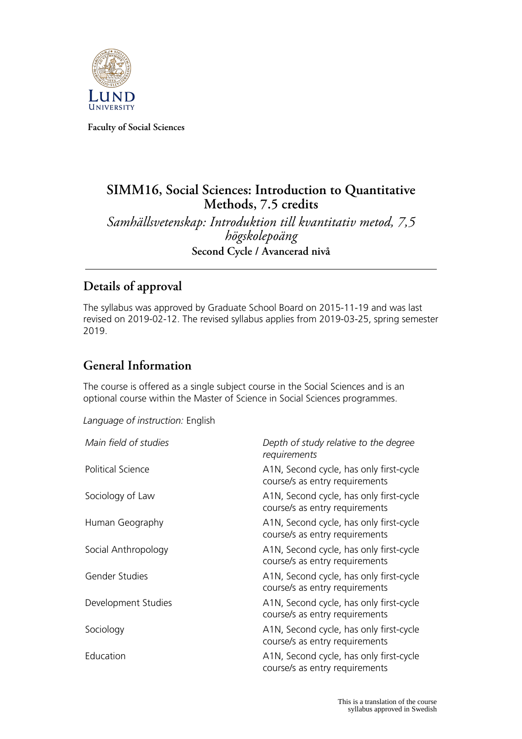

**Faculty of Social Sciences**

# **SIMM16, Social Sciences: Introduction to Quantitative Methods, 7.5 credits** *Samhällsvetenskap: Introduktion till kvantitativ metod, 7,5 högskolepoäng*

**Second Cycle / Avancerad nivå**

# **Details of approval**

The syllabus was approved by Graduate School Board on 2015-11-19 and was last revised on 2019-02-12. The revised syllabus applies from 2019-03-25, spring semester 2019.

# **General Information**

The course is offered as a single subject course in the Social Sciences and is an optional course within the Master of Science in Social Sciences programmes.

*Language of instruction:* English

| Main field of studies    | Depth of study relative to the degree<br>requirements                     |
|--------------------------|---------------------------------------------------------------------------|
| <b>Political Science</b> | A1N, Second cycle, has only first-cycle<br>course/s as entry requirements |
| Sociology of Law         | A1N, Second cycle, has only first-cycle<br>course/s as entry requirements |
| Human Geography          | A1N, Second cycle, has only first-cycle<br>course/s as entry requirements |
| Social Anthropology      | A1N, Second cycle, has only first-cycle<br>course/s as entry requirements |
| Gender Studies           | A1N, Second cycle, has only first-cycle<br>course/s as entry requirements |
| Development Studies      | A1N, Second cycle, has only first-cycle<br>course/s as entry requirements |
| Sociology                | A1N, Second cycle, has only first-cycle<br>course/s as entry requirements |
| Education                | A1N, Second cycle, has only first-cycle<br>course/s as entry requirements |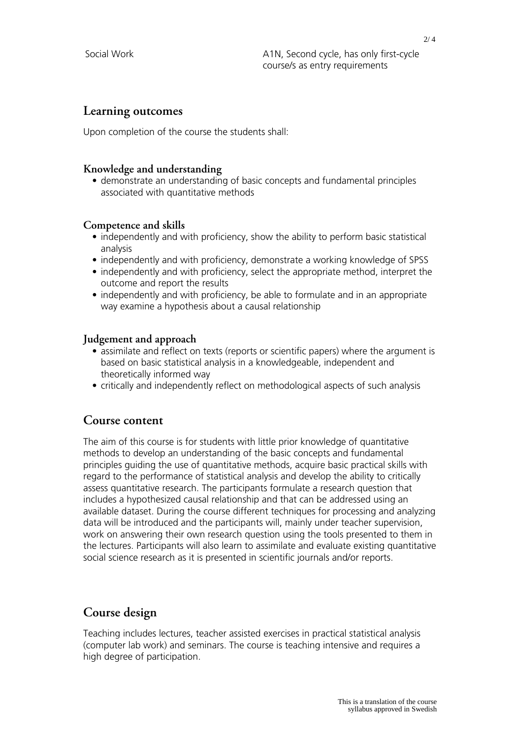### **Learning outcomes**

Upon completion of the course the students shall:

#### **Knowledge and understanding**

• demonstrate an understanding of basic concepts and fundamental principles associated with quantitative methods

#### **Competence and skills**

- independently and with proficiency, show the ability to perform basic statistical analysis
- independently and with proficiency, demonstrate a working knowledge of SPSS
- independently and with proficiency, select the appropriate method, interpret the outcome and report the results
- independently and with proficiency, be able to formulate and in an appropriate way examine a hypothesis about a causal relationship

#### **Judgement and approach**

- assimilate and reflect on texts (reports or scientific papers) where the argument is based on basic statistical analysis in a knowledgeable, independent and theoretically informed way
- critically and independently reflect on methodological aspects of such analysis

#### **Course content**

The aim of this course is for students with little prior knowledge of quantitative methods to develop an understanding of the basic concepts and fundamental principles guiding the use of quantitative methods, acquire basic practical skills with regard to the performance of statistical analysis and develop the ability to critically assess quantitative research. The participants formulate a research question that includes a hypothesized causal relationship and that can be addressed using an available dataset. During the course different techniques for processing and analyzing data will be introduced and the participants will, mainly under teacher supervision, work on answering their own research question using the tools presented to them in the lectures. Participants will also learn to assimilate and evaluate existing quantitative social science research as it is presented in scientific journals and/or reports.

## **Course design**

Teaching includes lectures, teacher assisted exercises in practical statistical analysis (computer lab work) and seminars. The course is teaching intensive and requires a high degree of participation.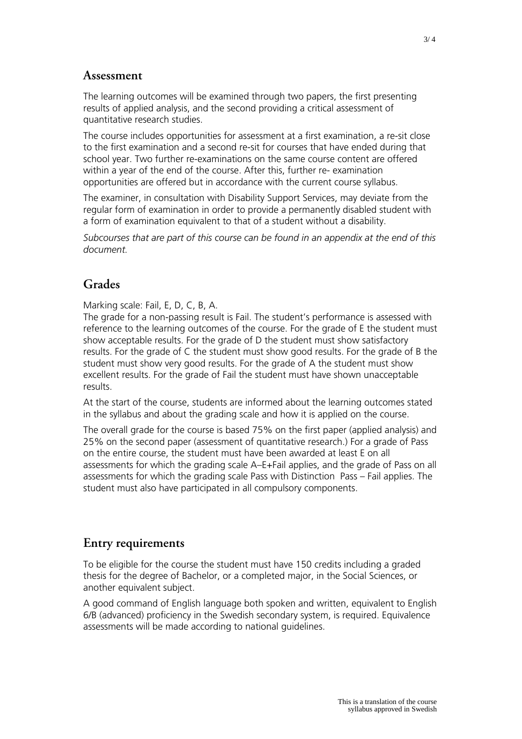### **Assessment**

The learning outcomes will be examined through two papers, the first presenting results of applied analysis, and the second providing a critical assessment of quantitative research studies.

The course includes opportunities for assessment at a first examination, a re-sit close to the first examination and a second re-sit for courses that have ended during that school year. Two further re-examinations on the same course content are offered within a year of the end of the course. After this, further re- examination opportunities are offered but in accordance with the current course syllabus.

The examiner, in consultation with Disability Support Services, may deviate from the regular form of examination in order to provide a permanently disabled student with a form of examination equivalent to that of a student without a disability.

*Subcourses that are part of this course can be found in an appendix at the end of this document.*

## **Grades**

Marking scale: Fail, E, D, C, B, A.

The grade for a non-passing result is Fail. The student's performance is assessed with reference to the learning outcomes of the course. For the grade of E the student must show acceptable results. For the grade of D the student must show satisfactory results. For the grade of C the student must show good results. For the grade of B the student must show very good results. For the grade of A the student must show excellent results. For the grade of Fail the student must have shown unacceptable results.

At the start of the course, students are informed about the learning outcomes stated in the syllabus and about the grading scale and how it is applied on the course.

The overall grade for the course is based 75% on the first paper (applied analysis) and 25% on the second paper (assessment of quantitative research.) For a grade of Pass on the entire course, the student must have been awarded at least E on all assessments for which the grading scale A–E+Fail applies, and the grade of Pass on all assessments for which the grading scale Pass with Distinction Pass – Fail applies. The student must also have participated in all compulsory components.

### **Entry requirements**

To be eligible for the course the student must have 150 credits including a graded thesis for the degree of Bachelor, or a completed major, in the Social Sciences, or another equivalent subject.

A good command of English language both spoken and written, equivalent to English 6/B (advanced) proficiency in the Swedish secondary system, is required. Equivalence assessments will be made according to national guidelines.